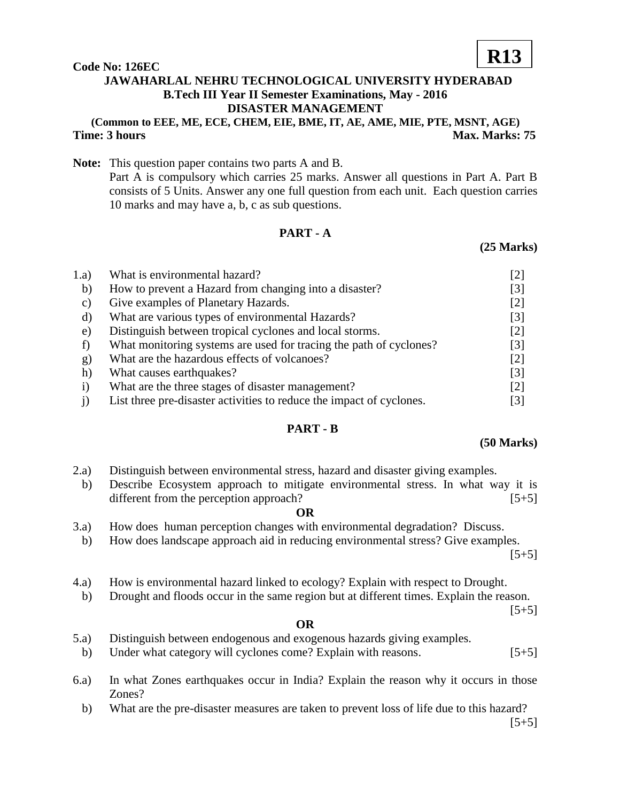#### **Code No: 126EC**

## **JAWAHARLAL NEHRU TECHNOLOGICAL UNIVERSITY HYDERABAD B.Tech III Year II Semester Examinations, May - 2016 DISASTER MANAGEMENT**

## **(Common to EEE, ME, ECE, CHEM, EIE, BME, IT, AE, AME, MIE, PTE, MSNT, AGE) Time: 3 hours** Max. Marks: 75

**Note:** This question paper contains two parts A and B. Part A is compulsory which carries 25 marks. Answer all questions in Part A. Part B consists of 5 Units. Answer any one full question from each unit. Each question carries 10 marks and may have a, b, c as sub questions.

## **PART - A**

## **(25 Marks)**

| 1.a)      | What is environmental hazard?                                        | [2]               |
|-----------|----------------------------------------------------------------------|-------------------|
| b)        | How to prevent a Hazard from changing into a disaster?               | [3]               |
| C)        | Give examples of Planetary Hazards.                                  | $[2]$             |
| d)        | What are various types of environmental Hazards?                     | [3]               |
| e)        | Distinguish between tropical cyclones and local storms.              | $[2]$             |
|           | What monitoring systems are used for tracing the path of cyclones?   | [3]               |
| g)        | What are the hazardous effects of volcanoes?                         | $[2]$             |
| h)        | What causes earthquakes?                                             | $\lceil 3 \rceil$ |
| $\bf{1)}$ | What are the three stages of disaster management?                    | 121               |
|           | List three pre-disaster activities to reduce the impact of cyclones. | 3                 |

## **PART - B**

#### **(50 Marks)**

- 2.a) Distinguish between environmental stress, hazard and disaster giving examples.
- b) Describe Ecosystem approach to mitigate environmental stress. In what way it is different from the perception approach? [5+5]

#### **OR**

- 3.a) How does human perception changes with environmental degradation? Discuss.
	- b) How does landscape approach aid in reducing environmental stress? Give examples.

 $[5+5]$ 

- 4.a) How is environmental hazard linked to ecology? Explain with respect to Drought.
- b) Drought and floods occur in the same region but at different times. Explain the reason.

 $[5+5]$ 

#### **OR**

- 5.a) Distinguish between endogenous and exogenous hazards giving examples.
- b) Under what category will cyclones come? Explain with reasons. [5+5]
- 6.a) In what Zones earthquakes occur in India? Explain the reason why it occurs in those Zones?
	- b) What are the pre-disaster measures are taken to prevent loss of life due to this hazard?

# **R13**